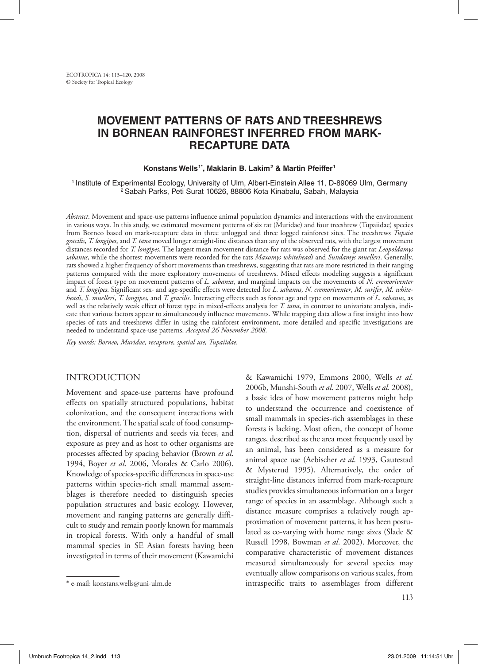# **Movement patterns of rats and treeshrews in Bornean rainforest inferred from markrecapture data**

#### Konstans Wells<sup>1\*</sup>, Maklarin B. Lakim<sup>2</sup> & Martin Pfeiffer<sup>1</sup>

1 Institute of Experimental Ecology, University of Ulm, Albert-Einstein Allee 11, D-89069 Ulm, Germany 2 Sabah Parks, Peti Surat 10626, 88806 Kota Kinabalu, Sabah, Malaysia

*Abstract*. Movement and space-use patterns influence animal population dynamics and interactions with the environment in various ways. In this study, we estimated movement patterns of six rat (Muridae) and four treeshrew (Tupaiidae) species from Borneo based on mark-recapture data in three unlogged and three logged rainforest sites. The treeshrews *Tupaia gracilis*, *T. longipes*, and *T. tana* moved longer straight-line distances than any of the observed rats, with the largest movement distances recorded for *T. longipes*. The largest mean movement distance for rats was observed for the giant rat *Leopoldamys sabanus*, while the shortest movements were recorded for the rats *Maxomys whiteheadi* and *Sundamys muelleri*. Generally, rats showed a higher frequency of short movements than treeshrews, suggesting that rats are more restricted in their ranging patterns compared with the more exploratory movements of treeshrews. Mixed effects modeling suggests a significant impact of forest type on movement patterns of *L. sabanus*, and marginal impacts on the movements of *N. cremoriventer* and *T. longipes*. Significant sex- and age-specific effects were detected for *L. sabanus*, *N. cremoriventer*, *M. surifer*, *M. whiteheadi*, *S. muelleri*, *T. longipes*, and *T. gracilis*. Interacting effects such as forest age and type on movements of *L. sabanus*, as well as the relatively weak effect of forest type in mixed-effects analysis for *T. tana*, in contrast to univariate analysis, indicate that various factors appear to simultaneously influence movements. While trapping data allow a first insight into how species of rats and treeshrews differ in using the rainforest environment, more detailed and specific investigations are needed to understand space-use patterns. *Accepted 26 November 2008.*

*Key words: Borneo, Muridae, recapture, spatial use, Tupaiidae.*

## INTRODUCTION

Movement and space-use patterns have profound effects on spatially structured populations, habitat colonization, and the consequent interactions with the environment. The spatial scale of food consumption, dispersal of nutrients and seeds via feces, and exposure as prey and as host to other organisms are processes affected by spacing behavior (Brown *et al*. 1994, Boyer *et al*. 2006, Morales & Carlo 2006). Knowledge of species-specific differences in space-use patterns within species-rich small mammal assemblages is therefore needed to distinguish species population structures and basic ecology. However, movement and ranging patterns are generally difficult to study and remain poorly known for mammals in tropical forests. With only a handful of small mammal species in SE Asian forests having been investigated in terms of their movement (Kawamichi

& Kawamichi 1979, Emmons 2000, Wells *et al*. 2006b, Munshi-South *et al*. 2007, Wells *et al*. 2008), a basic idea of how movement patterns might help to understand the occurrence and coexistence of small mammals in species-rich assemblages in these forests is lacking. Most often, the concept of home ranges, described as the area most frequently used by an animal, has been considered as a measure for animal space use (Aebischer *et al*. 1993, Gautestad & Mysterud 1995). Alternatively, the order of straight-line distances inferred from mark-recapture studies provides simultaneous information on a larger range of species in an assemblage. Although such a distance measure comprises a relatively rough approximation of movement patterns, it has been postulated as co-varying with home range sizes (Slade & Russell 1998, Bowman *et al*. 2002). Moreover, the comparative characteristic of movement distances measured simultaneously for several species may eventually allow comparisons on various scales, from intraspecific traits to assemblages from different

<sup>\*</sup> e-mail: konstans.wells@uni-ulm.de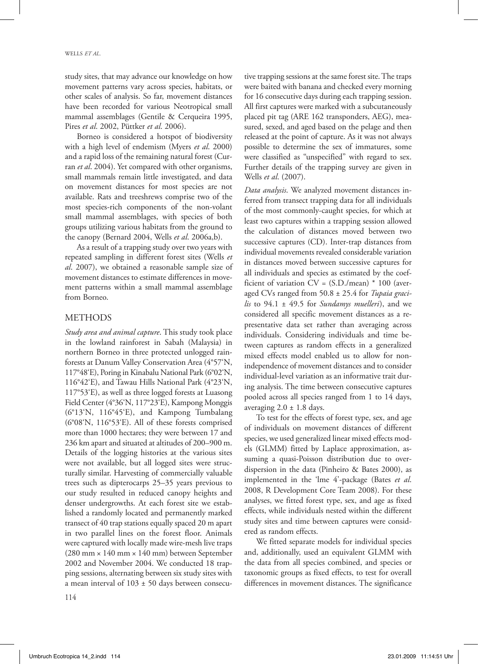study sites, that may advance our knowledge on how movement patterns vary across species, habitats, or other scales of analysis. So far, movement distances have been recorded for various Neotropical small mammal assemblages (Gentile & Cerqueira 1995, Pires *et al*. 2002, Püttker *et al*. 2006).

Borneo is considered a hotspot of biodiversity with a high level of endemism (Myers *et al*. 2000) and a rapid loss of the remaining natural forest (Curran *et al*. 2004). Yet compared with other organisms, small mammals remain little investigated, and data on movement distances for most species are not available. Rats and treeshrews comprise two of the most species-rich components of the non-volant small mammal assemblages, with species of both groups utilizing various habitats from the ground to the canopy (Bernard 2004, Wells *et al*. 2006a,b).

As a result of a trapping study over two years with repeated sampling in different forest sites (Wells *et al*. 2007), we obtained a reasonable sample size of movement distances to estimate differences in movement patterns within a small mammal assemblage from Borneo.

### **METHODS**

*Study area and animal capture*. This study took place in the lowland rainforest in Sabah (Malaysia) in northern Borneo in three protected unlogged rainforests at Danum Valley Conservation Area (4°57'N, 117°48'E), Poring in Kinabalu National Park (6°02'N, 116°42'E), and Tawau Hills National Park (4°23'N, 117°53'E), as well as three logged forests at Luasong Field Center (4°36'N, 117°23'E), Kampong Monggis (6°13'N, 116°45'E), and Kampong Tumbalang (6°08'N, 116°53'E). All of these forests comprised more than 1000 hectares; they were between 17 and 236 km apart and situated at altitudes of 200–900 m. Details of the logging histories at the various sites were not available, but all logged sites were structurally similar. Harvesting of commercially valuable trees such as dipterocarps 25–35 years previous to our study resulted in reduced canopy heights and denser undergrowths. At each forest site we established a randomly located and permanently marked transect of 40 trap stations equally spaced 20 m apart in two parallel lines on the forest floor. Animals were captured with locally made wire-mesh live traps (280 mm × 140 mm × 140 mm) between September 2002 and November 2004. We conducted 18 trapping sessions, alternating between six study sites with a mean interval of  $103 \pm 50$  days between consecu-

tive trapping sessions at the same forest site. The traps were baited with banana and checked every morning for 16 consecutive days during each trapping session. All first captures were marked with a subcutaneously placed pit tag (ARE 162 transponders, AEG), measured, sexed, and aged based on the pelage and then released at the point of capture. As it was not always possible to determine the sex of immatures, some were classified as "unspecified" with regard to sex. Further details of the trapping survey are given in Wells *et al*. (2007).

*Data analysis*. We analyzed movement distances inferred from transect trapping data for all individuals of the most commonly-caught species, for which at least two captures within a trapping session allowed the calculation of distances moved between two successive captures (CD). Inter-trap distances from individual movements revealed considerable variation in distances moved between successive captures for all individuals and species as estimated by the coefficient of variation  $CV = (S.D./mean) * 100$  (averaged CVs ranged from 50.8 ± 25.4 for *Tupaia gracilis* to 94.1 ± 49.5 for *Sundamys muelleri*), and we considered all specific movement distances as a representative data set rather than averaging across individuals. Considering individuals and time between captures as random effects in a generalized mixed effects model enabled us to allow for nonindependence of movement distances and to consider individual-level variation as an informative trait during analysis. The time between consecutive captures pooled across all species ranged from 1 to 14 days, averaging  $2.0 \pm 1.8$  days.

To test for the effects of forest type, sex, and age of individuals on movement distances of different species, we used generalized linear mixed effects models (GLMM) fitted by Laplace approximation, assuming a quasi-Poisson distribution due to overdispersion in the data (Pinheiro & Bates 2000), as implemented in the 'lme 4'-package (Bates *et al*. 2008, R Development Core Team 2008). For these analyses, we fitted forest type, sex, and age as fixed effects, while individuals nested within the different study sites and time between captures were considered as random effects.

We fitted separate models for individual species and, additionally, used an equivalent GLMM with the data from all species combined, and species or taxonomic groups as fixed effects, to test for overall differences in movement distances. The significance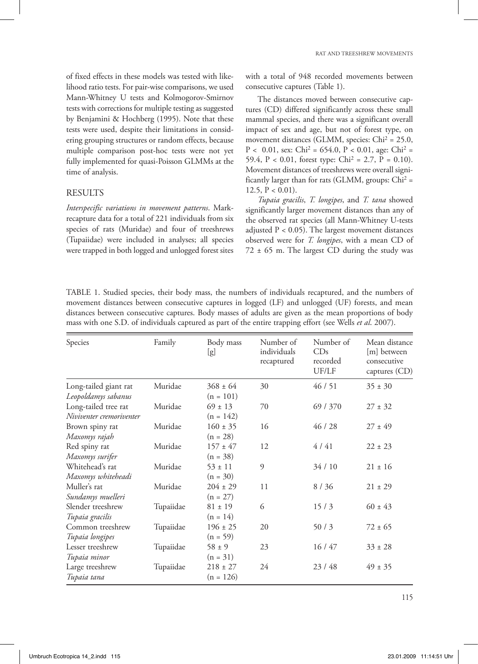of fixed effects in these models was tested with likelihood ratio tests. For pair-wise comparisons, we used Mann-Whitney U tests and Kolmogorov-Smirnov tests with corrections for multiple testing as suggested by Benjamini & Hochberg (1995). Note that these tests were used, despite their limitations in considering grouping structures or random effects, because multiple comparison post-hoc tests were not yet fully implemented for quasi-Poisson GLMMs at the time of analysis.

## **RESULTS**

*Interspecific variations in movement patterns*. Markrecapture data for a total of 221 individuals from six species of rats (Muridae) and four of treeshrews (Tupaiidae) were included in analyses; all species were trapped in both logged and unlogged forest sites

with a total of 948 recorded movements between consecutive captures (Table 1).

The distances moved between consecutive captures (CD) differed significantly across these small mammal species, and there was a significant overall impact of sex and age, but not of forest type, on movement distances (GLMM, species: Chi<sup>2</sup> = 25.0,  $P < 0.01$ , sex: Chi<sup>2</sup> = 654.0,  $P < 0.01$ , age: Chi<sup>2</sup> = 59.4,  $P < 0.01$ , forest type: Chi<sup>2</sup> = 2.7,  $P = 0.10$ ). Movement distances of treeshrews were overall significantly larger than for rats (GLMM, groups:  $Chi^2 =$ 12.5,  $P < 0.01$ ).

*Tupaia gracilis*, *T. longipes*, and *T. tana* showed significantly larger movement distances than any of the observed rat species (all Mann-Whitney U-tests adjusted  $P < 0.05$ ). The largest movement distances observed were for *T. longipes*, with a mean CD of  $72 \pm 65$  m. The largest CD during the study was

TABLE 1. Studied species, their body mass, the numbers of individuals recaptured, and the numbers of movement distances between consecutive captures in logged (LF) and unlogged (UF) forests, and mean distances between consecutive captures. Body masses of adults are given as the mean proportions of body mass with one S.D. of individuals captured as part of the entire trapping effort (see Wells *et al*. 2007).

| Species                  | Family    | Body mass<br>[g] | Number of<br>individuals<br>recaptured | Number of<br>CDs<br>recorded<br>UF/LF | Mean distance<br>[m] between<br>consecutive<br>captures (CD) |
|--------------------------|-----------|------------------|----------------------------------------|---------------------------------------|--------------------------------------------------------------|
| Long-tailed giant rat    | Muridae   | $368 \pm 64$     | 30                                     | 46/51                                 | $35 \pm 30$                                                  |
| Leopoldamys sabanus      |           | $(n = 101)$      |                                        |                                       |                                                              |
| Long-tailed tree rat     | Muridae   | $69 \pm 13$      | 70                                     | 69/370                                | $27 \pm 32$                                                  |
| Niviventer cremoriventer |           | $(n = 142)$      |                                        |                                       |                                                              |
| Brown spiny rat          | Muridae   | $160 \pm 35$     | 16                                     | 46/28                                 | $27 \pm 49$                                                  |
| Maxomys rajah            |           | $(n = 28)$       |                                        |                                       |                                                              |
| Red spiny rat            | Muridae   | $157 \pm 47$     | 12                                     | 4/41                                  | $22 \pm 23$                                                  |
| Maxomys surifer          |           | $(n = 38)$       |                                        |                                       |                                                              |
| Whitehead's rat          | Muridae   | $53 \pm 11$      | 9                                      | 34/10                                 | $21 \pm 16$                                                  |
| Maxomys whiteheadi       |           | $(n = 30)$       |                                        |                                       |                                                              |
| Muller's rat             | Muridae   | $204 \pm 29$     | 11                                     | 8/36                                  | $21 \pm 29$                                                  |
| Sundamys muelleri        |           | $(n = 27)$       |                                        |                                       |                                                              |
| Slender treeshrew        | Tupaiidae | $81 \pm 19$      | 6                                      | 15/3                                  | $60 \pm 43$                                                  |
| Tupaia gracilis          |           | $(n = 14)$       |                                        |                                       |                                                              |
| Common treeshrew         | Tupaiidae | $196 \pm 25$     | 20                                     | 50/3                                  | $72 \pm 65$                                                  |
| Tupaia longipes          |           | $(n = 59)$       |                                        |                                       |                                                              |
| Lesser treeshrew         | Tupaiidae | $58 \pm 9$       | 23                                     | 16/47                                 | $33 \pm 28$                                                  |
| Tupaia minor             |           | $(n = 31)$       |                                        |                                       |                                                              |
| Large treeshrew          | Tupaiidae | $218 \pm 27$     | 24                                     | 23/48                                 | $49 \pm 35$                                                  |
| Tupaia tana              |           | $(n = 126)$      |                                        |                                       |                                                              |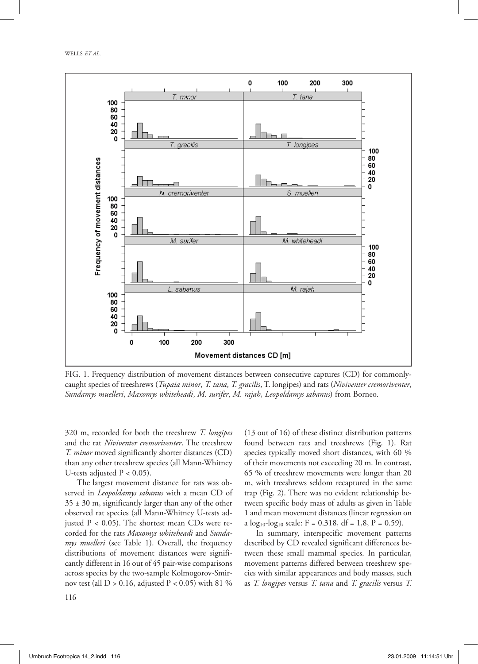

FIG. 1. Frequency distribution of movement distances between consecutive captures FIG. 1. Frequency distribution of movement distances between consecutive captures (CD) for commonlycaught species of treeshrews (Tupaia minor, T. tana, T. gracilis, T. longipes) and rats (Niviventer cremoriventer, Sundamys muelleri, Maxomys whiteheadi, M. surifer, M. rajah, Leopoldamys sabanus) from Borneo.

320 m, recorded for both the treeshrew *T. longipes*  and the rat *Niviventer cremoriventer*. The treeshrew *T. minor* moved significantly shorter distances (CD) than any other treeshrew species (all Mann-Whitney U-tests adjusted  $P < 0.05$ ).

*M. surifer*, *M. rajah*, *Leopoldamys sabanus*) from Borneo.

The largest movement distance for rats was observed in *Leopoldamys sabanus* with a mean CD of  $35 \pm 30$  m, significantly larger than any of the other observed rat species (all Mann-Whitney U-tests adjusted  $P < 0.05$ ). The shortest mean CDs were recorded for the rats *Maxomys whiteheadi* and *Sundamys muelleri* (see Table 1). Overall, the frequency distributions of movement distances were significantly different in 16 out of 45 pair-wise comparisons across species by the two-sample Kolmogorov-Smirnov test (all  $D > 0.16$ , adjusted  $P < 0.05$ ) with 81 %

(13 out of 16) of these distinct distribution patterns found between rats and treeshrews (Fig. 1). Rat species typically moved short distances, with 60 % of their movements not exceeding 20 m. In contrast, 65 % of treeshrew movements were longer than 20 m, with treeshrews seldom recaptured in the same trap (Fig. 2). There was no evident relationship between specific body mass of adults as given in Table 1 and mean movement distances (linear regression on a  $log_{10}$ - $log_{10}$  scale: F = 0.318, df = 1,8, P = 0.59).

In summary, interspecific movement patterns described by CD revealed significant differences between these small mammal species. In particular, movement patterns differed between treeshrew species with similar appearances and body masses, such as *T. longipes* versus *T. tana* and *T. gracilis* versus *T.*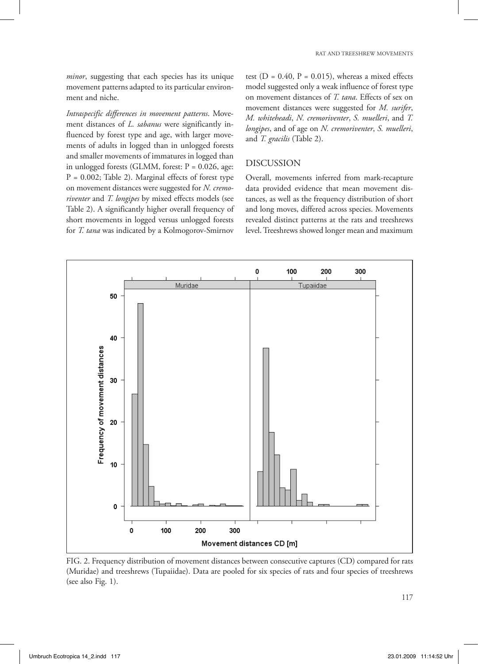*minor*, suggesting that each species has its unique movement patterns adapted to its particular environment and niche.

*Intraspecific differences in movement patterns*. Movement distances of *L. sabanus* were significantly influenced by forest type and age, with larger movements of adults in logged than in unlogged forests and smaller movements of immatures in logged than in unlogged forests (GLMM, forest:  $P = 0.026$ , age: P = 0.002; Table 2). Marginal effects of forest type on movement distances were suggested for *N. cremoriventer* and *T. longipes* by mixed effects models (see Table 2). A significantly higher overall frequency of short movements in logged versus unlogged forests for *T. tana* was indicated by a Kolmogorov-Smirnov test ( $D = 0.40$ ,  $P = 0.015$ ), whereas a mixed effects model suggested only a weak influence of forest type on movement distances of *T. tana*. Effects of sex on movement distances were suggested for *M. surifer*, *M. whiteheadi*, *N. cremoriventer*, *S. muelleri*, and *T. longipes*, and of age on *N. cremoriventer*, *S. muelleri*, and *T. gracilis* (Table 2).

### DISCUSSION

Overall, movements inferred from mark-recapture data provided evidence that mean movement distances, as well as the frequency distribution of short and long moves, differed across species. Movements revealed distinct patterns at the rats and treeshrews level. Treeshrews showed longer mean and maximum



FIG. 2. Frequency distribution of movement distances between consecutive captures FIG. 2. Frequency distribution of movement distances between consecutive captures (CD) compared for rats (Muridae) and treeshrews (Tupaiidae). Data are pooled for six species of rats and four species of treeshrews  $(see also Fig. 1).$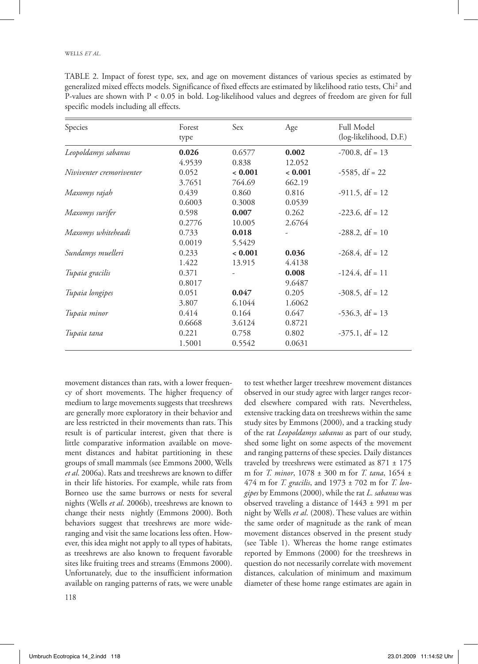| Species                  | Forest | Sex     | Age    | Full Model             |
|--------------------------|--------|---------|--------|------------------------|
|                          | type   |         |        | (log-likelihood, D.F.) |
| Leopoldamys sabanus      | 0.026  | 0.6577  | 0.002  | $-700.8$ , df = 13     |
|                          | 4.9539 | 0.838   | 12.052 |                        |
| Niviventer cremoriventer | 0.052  | < 0.001 | 0.001  | $-5585$ , df = 22      |
|                          | 3.7651 | 764.69  | 662.19 |                        |
| Maxomys rajah            | 0.439  | 0.860   | 0.816  | $-911.5$ , df = 12     |
|                          | 0.6003 | 0.3008  | 0.0539 |                        |
| Maxomys surifer          | 0.598  | 0.007   | 0.262  | $-223.6, df = 12$      |
|                          | 0.2776 | 10.005  | 2.6764 |                        |
| Maxomys whiteheadi       | 0.733  | 0.018   |        | $-288.2, df = 10$      |
|                          | 0.0019 | 5.5429  |        |                        |
| Sundamys muelleri        | 0.233  | < 0.001 | 0.036  | $-268.4$ , df = 12     |
|                          | 1.422  | 13.915  | 4.4138 |                        |
| Tupaia gracilis          | 0.371  |         | 0.008  | $-124.4$ , df = 11     |
|                          | 0.8017 |         | 9.6487 |                        |
| Tupaia longipes          | 0.051  | 0.047   | 0.205  | $-308.5$ , df = 12     |
|                          | 3.807  | 6.1044  | 1.6062 |                        |
| Tupaia minor             | 0.414  | 0.164   | 0.647  | $-536.3$ , df = 13     |
|                          | 0.6668 | 3.6124  | 0.8721 |                        |
| Tupaia tana              | 0.221  | 0.758   | 0.802  | $-375.1$ , df = 12     |
|                          | 1.5001 | 0.5542  | 0.0631 |                        |
|                          |        |         |        |                        |

TABLE 2. Impact of forest type, sex, and age on movement distances of various species as estimated by generalized mixed effects models. Significance of fixed effects are estimated by likelihood ratio tests, Chi2 and P-values are shown with P < 0.05 in bold. Log-likelihood values and degrees of freedom are given for full specific models including all effects.

movement distances than rats, with a lower frequency of short movements. The higher frequency of medium to large movements suggests that treeshrews are generally more exploratory in their behavior and are less restricted in their movements than rats. This result is of particular interest, given that there is little comparative information available on movement distances and habitat partitioning in these groups of small mammals (see Emmons 2000, Wells *et al*. 2006a). Rats and treeshrews are known to differ in their life histories. For example, while rats from Borneo use the same burrows or nests for several nights (Wells *et al*. 2006b), treeshrews are known to change their nests nightly (Emmons 2000). Both behaviors suggest that treeshrews are more wideranging and visit the same locations less often. However, this idea might not apply to all types of habitats, as treeshrews are also known to frequent favorable sites like fruiting trees and streams (Emmons 2000). Unfortunately, due to the insufficient information available on ranging patterns of rats, we were unable

to test whether larger treeshrew movement distances observed in our study agree with larger ranges recorded elsewhere compared with rats. Nevertheless, extensive tracking data on treeshrews within the same study sites by Emmons (2000), and a tracking study of the rat *Leopoldamys sabanus* as part of our study, shed some light on some aspects of the movement and ranging patterns of these species. Daily distances traveled by treeshrews were estimated as  $871 \pm 175$ m for *T. minor*, 1078 ± 300 m for *T. tana*, 1654 ± 474 m for *T. gracilis*, and 1973 ± 702 m for *T. longipes* by Emmons (2000), while the rat *L. sabanus* was observed traveling a distance of 1443 ± 991 m per night by Wells *et al*. (2008). These values are within the same order of magnitude as the rank of mean movement distances observed in the present study (see Table 1). Whereas the home range estimates reported by Emmons (2000) for the treeshrews in question do not necessarily correlate with movement distances, calculation of minimum and maximum diameter of these home range estimates are again in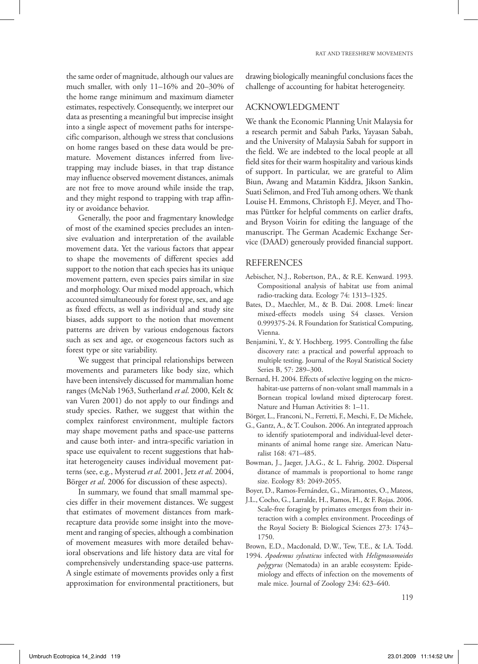the same order of magnitude, although our values are much smaller, with only 11–16% and 20–30% of the home range minimum and maximum diameter estimates, respectively. Consequently, we interpret our data as presenting a meaningful but imprecise insight into a single aspect of movement paths for interspecific comparison, although we stress that conclusions on home ranges based on these data would be premature. Movement distances inferred from livetrapping may include biases, in that trap distance may influence observed movement distances, animals are not free to move around while inside the trap, and they might respond to trapping with trap affinity or avoidance behavior.

Generally, the poor and fragmentary knowledge of most of the examined species precludes an intensive evaluation and interpretation of the available movement data. Yet the various factors that appear to shape the movements of different species add support to the notion that each species has its unique movement pattern, even species pairs similar in size and morphology. Our mixed model approach, which accounted simultaneously for forest type, sex, and age as fixed effects, as well as individual and study site biases, adds support to the notion that movement patterns are driven by various endogenous factors such as sex and age, or exogeneous factors such as forest type or site variability.

We suggest that principal relationships between movements and parameters like body size, which have been intensively discussed for mammalian home ranges (McNab 1963, Sutherland *et al*. 2000, Kelt & van Vuren 2001) do not apply to our findings and study species. Rather, we suggest that within the complex rainforest environment, multiple factors may shape movement paths and space-use patterns and cause both inter- and intra-specific variation in space use equivalent to recent suggestions that habitat heterogeneity causes individual movement patterns (see, e.g., Mysterud *et al*. 2001, Jetz *et al*. 2004, Börger *et al*. 2006 for discussion of these aspects).

In summary, we found that small mammal species differ in their movement distances. We suggest that estimates of movement distances from markrecapture data provide some insight into the movement and ranging of species, although a combination of movement measures with more detailed behavioral observations and life history data are vital for comprehensively understanding space-use patterns. A single estimate of movements provides only a first approximation for environmental practitioners, but drawing biologically meaningful conclusions faces the challenge of accounting for habitat heterogeneity.

#### ACKNOWLEDGMENT

We thank the Economic Planning Unit Malaysia for a research permit and Sabah Parks, Yayasan Sabah, and the University of Malaysia Sabah for support in the field. We are indebted to the local people at all field sites for their warm hospitality and various kinds of support. In particular, we are grateful to Alim Biun, Awang and Matamin Kiddra, Jikson Sankin, Suati Selimon, and Fred Tuh among others. We thank Louise H. Emmons, Christoph F.J. Meyer, and Thomas Püttker for helpful comments on earlier drafts, and Bryson Voirin for editing the language of the manuscript. The German Academic Exchange Service (DAAD) generously provided financial support.

#### REFERENCES

- Aebischer, N.J., Robertson, P.A., & R.E. Kenward. 1993. Compositional analysis of habitat use from animal radio-tracking data. Ecology 74: 1313–1325.
- Bates, D., Maechler, M., & B. Dai. 2008. Lme4: linear mixed-effects models using S4 classes. Version 0.999375-24. R Foundation for Statistical Computing, Vienna.
- Benjamini, Y., & Y. Hochberg. 1995. Controlling the false discovery rate: a practical and powerful approach to multiple testing. Journal of the Royal Statistical Society Series B, 57: 289–300.
- Bernard, H. 2004. Effects of selective logging on the microhabitat-use patterns of non-volant small mammals in a Bornean tropical lowland mixed dipterocarp forest. Nature and Human Activities 8: 1–11.
- Börger, L., Franconi, N., Ferretti, F., Meschi, F., De Michele,
- G., Gantz, A., & T. Coulson. 2006. An integrated approach to identify spatiotemporal and individual-level determinants of animal home range size. American Naturalist 168: 471–485.
- Bowman, J., Jaeger, J.A.G., & L. Fahrig. 2002. Dispersal distance of mammals is proportional to home range size. Ecology 83: 2049-2055.
- Boyer, D., Ramos-Fernández, G., Miramontes, O., Mateos,
- J.L., Cocho, G., Larralde, H., Ramos, H., & F. Rojas. 2006. Scale-free foraging by primates emerges from their interaction with a complex environment. Proceedings of the Royal Society B: Biological Sciences 273: 1743– 1750.
- Brown, E.D., Macdonald, D.W., Tew, T.E., & I.A. Todd.
- 1994. *Apodemus sylvaticus* infected with *Heligmosomoides polygyrus* (Nematoda) in an arable ecosystem: Epidemiology and effects of infection on the movements of male mice. Journal of Zoology 234: 623–640.